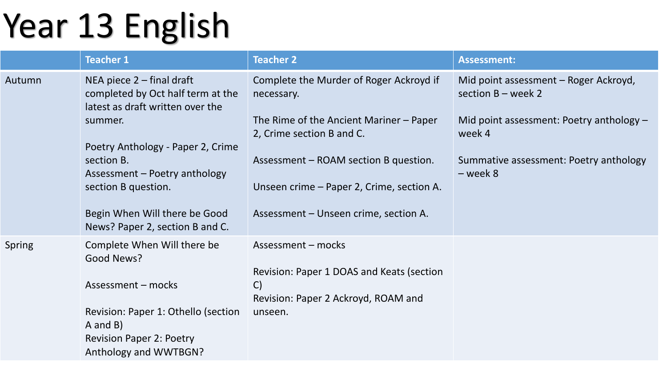## Year 13 English

|               | <b>Teacher 1</b>                                                                                            | <b>Teacher 2</b>                                                       | <b>Assessment:</b>                                            |
|---------------|-------------------------------------------------------------------------------------------------------------|------------------------------------------------------------------------|---------------------------------------------------------------|
| Autumn        | NEA piece $2$ – final draft<br>completed by Oct half term at the<br>latest as draft written over the        | Complete the Murder of Roger Ackroyd if<br>necessary.                  | Mid point assessment - Roger Ackroyd,<br>section $B$ – week 2 |
|               | summer.<br>Poetry Anthology - Paper 2, Crime<br>section B.<br>Assessment – Poetry anthology                 | The Rime of the Ancient Mariner $-$ Paper<br>2, Crime section B and C. | Mid point assessment: Poetry anthology -<br>week 4            |
|               |                                                                                                             | Assessment – ROAM section B question.                                  | Summative assessment: Poetry anthology<br>- week 8            |
|               | section B question.                                                                                         | Unseen crime – Paper 2, Crime, section A.                              |                                                               |
|               | Begin When Will there be Good<br>News? Paper 2, section B and C.                                            | Assessment – Unseen crime, section A.                                  |                                                               |
| <b>Spring</b> | Complete When Will there be<br>Good News?                                                                   | Assessment - mocks                                                     |                                                               |
|               | Assessment - mocks                                                                                          | Revision: Paper 1 DOAS and Keats (section<br>$\mathsf{C}$              |                                                               |
|               | Revision: Paper 1: Othello (section<br>A and B)<br><b>Revision Paper 2: Poetry</b><br>Anthology and WWTBGN? | Revision: Paper 2 Ackroyd, ROAM and<br>unseen.                         |                                                               |